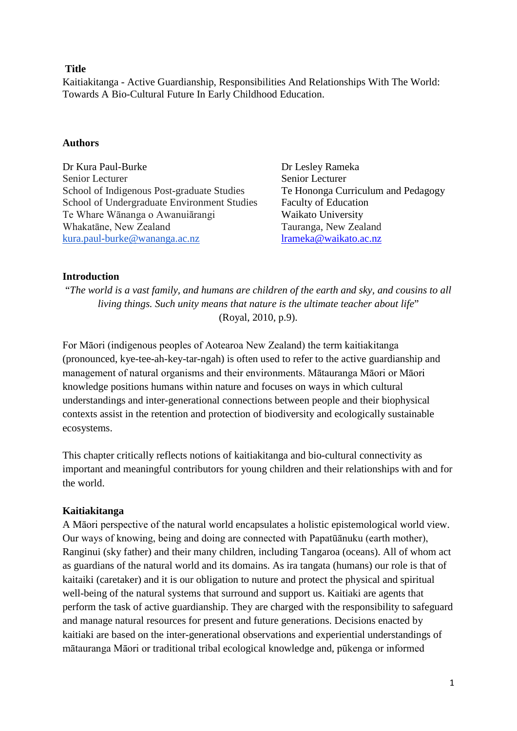# **Title**

Kaitiakitanga - Active Guardianship, Responsibilities And Relationships With The World: Towards A Bio-Cultural Future In Early Childhood Education.

### **Authors**

Dr Kura Paul-Burke Dr Lesley Rameka Senior Lecturer Senior Lecturer School of Indigenous Post-graduate Studies Te Hononga Curriculum and Pedagogy School of Undergraduate Environment Studies Faculty of Education Te Whare Wānanga o Awanuiārangi Waikato University Whakatāne, New Zealand Tauranga, New Zealand [kura.paul-burke@wananga.ac.nz](mailto:kura.paul-burke@wananga.ac.nz) [lrameka@waikato.ac.nz](mailto:lrameka@waikato.ac.nz)

# **Introduction**

"*The world is a vast family, and humans are children of the earth and sky, and cousins to all living things. Such unity means that nature is the ultimate teacher about life*" (Royal, 2010, p.9).

For Māori (indigenous peoples of Aotearoa New Zealand) the term kaitiakitanga (pronounced, kye-tee-ah-key-tar-ngah) is often used to refer to the active guardianship and management of natural organisms and their environments. Mātauranga Māori or Māori knowledge positions humans within nature and focuses on ways in which cultural understandings and inter-generational connections between people and their biophysical contexts assist in the retention and protection of biodiversity and ecologically sustainable ecosystems.

This chapter critically reflects notions of kaitiakitanga and bio-cultural connectivity as important and meaningful contributors for young children and their relationships with and for the world.

# **Kaitiakitanga**

A Māori perspective of the natural world encapsulates a holistic epistemological world view. Our ways of knowing, being and doing are connected with Papatūānuku (earth mother), Ranginui (sky father) and their many children, including Tangaroa (oceans). All of whom act as guardians of the natural world and its domains. As ira tangata (humans) our role is that of kaitaiki (caretaker) and it is our obligation to nuture and protect the physical and spiritual well-being of the natural systems that surround and support us. Kaitiaki are agents that perform the task of active guardianship. They are charged with the responsibility to safeguard and manage natural resources for present and future generations. Decisions enacted by kaitiaki are based on the inter-generational observations and experiential understandings of mātauranga Māori or traditional tribal ecological knowledge and, pūkenga or informed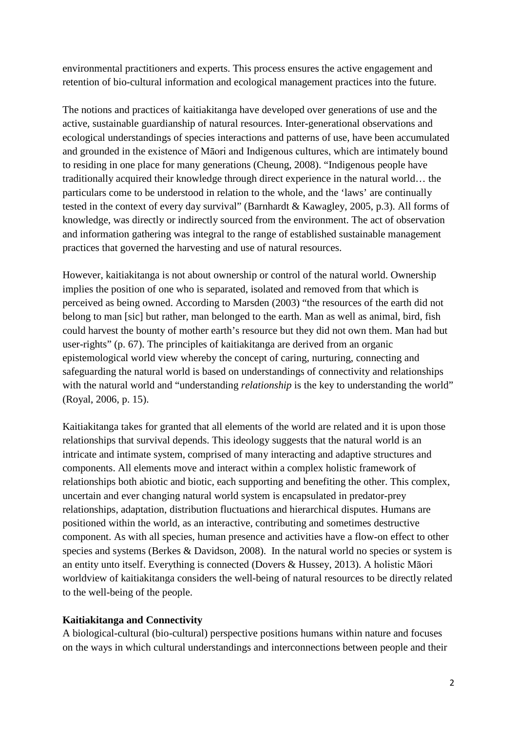environmental practitioners and experts. This process ensures the active engagement and retention of bio-cultural information and ecological management practices into the future.

The notions and practices of kaitiakitanga have developed over generations of use and the active, sustainable guardianship of natural resources. Inter-generational observations and ecological understandings of species interactions and patterns of use, have been accumulated and grounded in the existence of Māori and Indigenous cultures, which are intimately bound to residing in one place for many generations (Cheung, 2008). "Indigenous people have traditionally acquired their knowledge through direct experience in the natural world… the particulars come to be understood in relation to the whole, and the 'laws' are continually tested in the context of every day survival" (Barnhardt & Kawagley, 2005, p.3). All forms of knowledge, was directly or indirectly sourced from the environment. The act of observation and information gathering was integral to the range of established sustainable management practices that governed the harvesting and use of natural resources.

However, kaitiakitanga is not about ownership or control of the natural world. Ownership implies the position of one who is separated, isolated and removed from that which is perceived as being owned. According to Marsden (2003) "the resources of the earth did not belong to man [sic] but rather, man belonged to the earth. Man as well as animal, bird, fish could harvest the bounty of mother earth's resource but they did not own them. Man had but user-rights" (p. 67). The principles of kaitiakitanga are derived from an organic epistemological world view whereby the concept of caring, nurturing, connecting and safeguarding the natural world is based on understandings of connectivity and relationships with the natural world and "understanding *relationship* is the key to understanding the world" (Royal, 2006, p. 15).

Kaitiakitanga takes for granted that all elements of the world are related and it is upon those relationships that survival depends. This ideology suggests that the natural world is an intricate and intimate system, comprised of many interacting and adaptive structures and components. All elements move and interact within a complex holistic framework of relationships both abiotic and biotic, each supporting and benefiting the other. This complex, uncertain and ever changing natural world system is encapsulated in predator-prey relationships, adaptation, distribution fluctuations and hierarchical disputes. Humans are positioned within the world, as an interactive, contributing and sometimes destructive component. As with all species, human presence and activities have a flow-on effect to other species and systems (Berkes & Davidson, 2008). In the natural world no species or system is an entity unto itself. Everything is connected (Dovers & Hussey, 2013). A holistic Māori worldview of kaitiakitanga considers the well-being of natural resources to be directly related to the well-being of the people.

### **Kaitiakitanga and Connectivity**

A biological-cultural (bio-cultural) perspective positions humans within nature and focuses on the ways in which cultural understandings and interconnections between people and their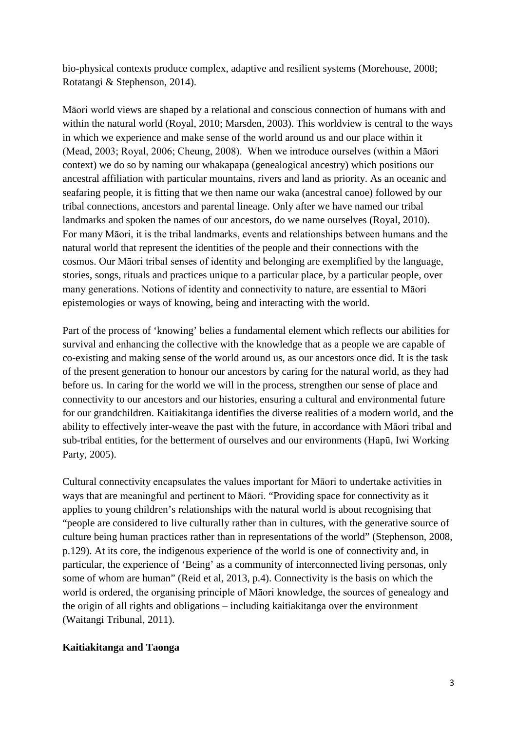bio-physical contexts produce complex, adaptive and resilient systems (Morehouse, 2008; Rotatangi & Stephenson, 2014).

Māori world views are shaped by a relational and conscious connection of humans with and within the natural world (Royal, 2010; Marsden, 2003). This worldview is central to the ways in which we experience and make sense of the world around us and our place within it (Mead, 2003; Royal, 2006; Cheung, 2008). When we introduce ourselves (within a Māori context) we do so by naming our whakapapa (genealogical ancestry) which positions our ancestral affiliation with particular mountains, rivers and land as priority. As an oceanic and seafaring people, it is fitting that we then name our waka (ancestral canoe) followed by our tribal connections, ancestors and parental lineage. Only after we have named our tribal landmarks and spoken the names of our ancestors, do we name ourselves (Royal, 2010). For many Māori, it is the tribal landmarks, events and relationships between humans and the natural world that represent the identities of the people and their connections with the cosmos. Our Māori tribal senses of identity and belonging are exemplified by the language, stories, songs, rituals and practices unique to a particular place, by a particular people, over many generations. Notions of identity and connectivity to nature, are essential to Māori epistemologies or ways of knowing, being and interacting with the world.

Part of the process of 'knowing' belies a fundamental element which reflects our abilities for survival and enhancing the collective with the knowledge that as a people we are capable of co-existing and making sense of the world around us, as our ancestors once did. It is the task of the present generation to honour our ancestors by caring for the natural world, as they had before us. In caring for the world we will in the process, strengthen our sense of place and connectivity to our ancestors and our histories, ensuring a cultural and environmental future for our grandchildren. Kaitiakitanga identifies the diverse realities of a modern world, and the ability to effectively inter-weave the past with the future, in accordance with Māori tribal and sub-tribal entities, for the betterment of ourselves and our environments (Hapū, Iwi Working Party, 2005).

Cultural connectivity encapsulates the values important for Māori to undertake activities in ways that are meaningful and pertinent to Māori. "Providing space for connectivity as it applies to young children's relationships with the natural world is about recognising that "people are considered to live culturally rather than in cultures, with the generative source of culture being human practices rather than in representations of the world" (Stephenson, 2008, p.129). At its core, the indigenous experience of the world is one of connectivity and, in particular, the experience of 'Being' as a community of interconnected living personas, only some of whom are human" (Reid et al, 2013, p.4). Connectivity is the basis on which the world is ordered, the organising principle of Māori knowledge, the sources of genealogy and the origin of all rights and obligations – including kaitiakitanga over the environment (Waitangi Tribunal, 2011).

### **Kaitiakitanga and Taonga**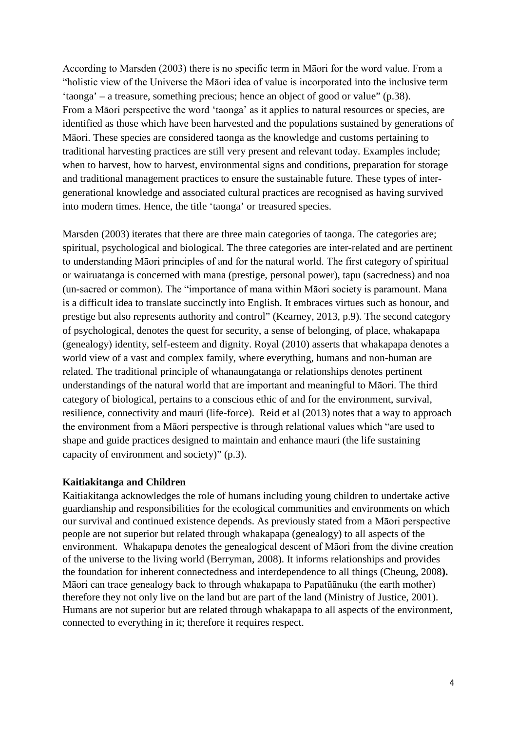According to Marsden (2003) there is no specific term in Māori for the word value. From a "holistic view of the Universe the Māori idea of value is incorporated into the inclusive term 'taonga' – a treasure, something precious; hence an object of good or value" (p.38). From a Māori perspective the word 'taonga' as it applies to natural resources or species, are identified as those which have been harvested and the populations sustained by generations of Māori. These species are considered taonga as the knowledge and customs pertaining to traditional harvesting practices are still very present and relevant today. Examples include; when to harvest, how to harvest, environmental signs and conditions, preparation for storage and traditional management practices to ensure the sustainable future. These types of intergenerational knowledge and associated cultural practices are recognised as having survived into modern times. Hence, the title 'taonga' or treasured species.

Marsden (2003) iterates that there are three main categories of taonga. The categories are; spiritual, psychological and biological. The three categories are inter-related and are pertinent to understanding Māori principles of and for the natural world. The first category of spiritual or wairuatanga is concerned with mana (prestige, personal power), tapu (sacredness) and noa (un-sacred or common). The "importance of mana within Māori society is paramount. Mana is a difficult idea to translate succinctly into English. It embraces virtues such as honour, and prestige but also represents authority and control" (Kearney, 2013, p.9). The second category of psychological, denotes the quest for security, a sense of belonging, of place, whakapapa (genealogy) identity, self-esteem and dignity. Royal (2010) asserts that whakapapa denotes a world view of a vast and complex family, where everything, humans and non-human are related. The traditional principle of whanaungatanga or relationships denotes pertinent understandings of the natural world that are important and meaningful to Māori. The third category of biological, pertains to a conscious ethic of and for the environment, survival, resilience, connectivity and mauri (life-force). Reid et al (2013) notes that a way to approach the environment from a Māori perspective is through relational values which "are used to shape and guide practices designed to maintain and enhance mauri (the life sustaining capacity of environment and society)" (p.3).

#### **Kaitiakitanga and Children**

Kaitiakitanga acknowledges the role of humans including young children to undertake active guardianship and responsibilities for the ecological communities and environments on which our survival and continued existence depends. As previously stated from a Māori perspective people are not superior but related through whakapapa (genealogy) to all aspects of the environment. Whakapapa denotes the genealogical descent of Māori from the divine creation of the universe to the living world (Berryman, 2008). It informs relationships and provides the foundation for inherent connectedness and interdependence to all things (Cheung, 2008**).**  Māori can trace genealogy back to through whakapapa to Papatūānuku (the earth mother) therefore they not only live on the land but are part of the land (Ministry of Justice, 2001). Humans are not superior but are related through whakapapa to all aspects of the environment, connected to everything in it; therefore it requires respect.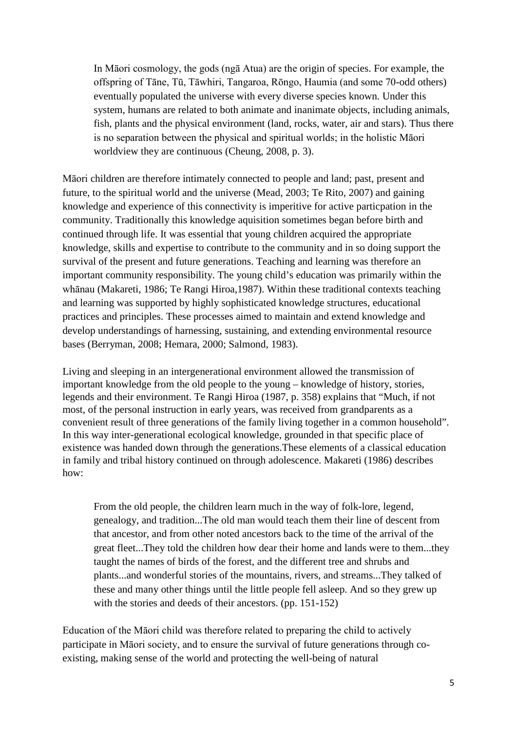In Māori cosmology, the gods (ngā Atua) are the origin of species. For example, the offspring of Tāne, Tū, Tāwhiri, Tangaroa, Rōngo, Haumia (and some 70-odd others) eventually populated the universe with every diverse species known. Under this system, humans are related to both animate and inanimate objects, including animals, fish, plants and the physical environment (land, rocks, water, air and stars). Thus there is no separation between the physical and spiritual worlds; in the holistic Māori worldview they are continuous (Cheung, 2008, p. 3).

Māori children are therefore intimately connected to people and land; past, present and future, to the spiritual world and the universe (Mead, 2003; Te Rito, 2007) and gaining knowledge and experience of this connectivity is imperitive for active particpation in the community. Traditionally this knowledge aquisition sometimes began before birth and continued through life. It was essential that young children acquired the appropriate knowledge, skills and expertise to contribute to the community and in so doing support the survival of the present and future generations. Teaching and learning was therefore an important community responsibility. The young child's education was primarily within the whānau (Makareti, 1986; Te Rangi Hiroa,1987). Within these traditional contexts teaching and learning was supported by highly sophisticated knowledge structures, educational practices and principles. These processes aimed to maintain and extend knowledge and develop understandings of harnessing, sustaining, and extending environmental resource bases (Berryman, 2008; Hemara, 2000; Salmond, 1983).

Living and sleeping in an intergenerational environment allowed the transmission of important knowledge from the old people to the young – knowledge of history, stories, legends and their environment. Te Rangi Hiroa (1987, p. 358) explains that "Much, if not most, of the personal instruction in early years, was received from grandparents as a convenient result of three generations of the family living together in a common household". In this way inter-generational ecological knowledge, grounded in that specific place of existence was handed down through the generations.These elements of a classical education in family and tribal history continued on through adolescence. Makareti (1986) describes how:

From the old people, the children learn much in the way of folk-lore, legend, genealogy, and tradition...The old man would teach them their line of descent from that ancestor, and from other noted ancestors back to the time of the arrival of the great fleet...They told the children how dear their home and lands were to them...they taught the names of birds of the forest, and the different tree and shrubs and plants...and wonderful stories of the mountains, rivers, and streams...They talked of these and many other things until the little people fell asleep. And so they grew up with the stories and deeds of their ancestors. (pp. 151-152)

Education of the Māori child was therefore related to preparing the child to actively participate in Māori society, and to ensure the survival of future generations through coexisting, making sense of the world and protecting the well-being of natural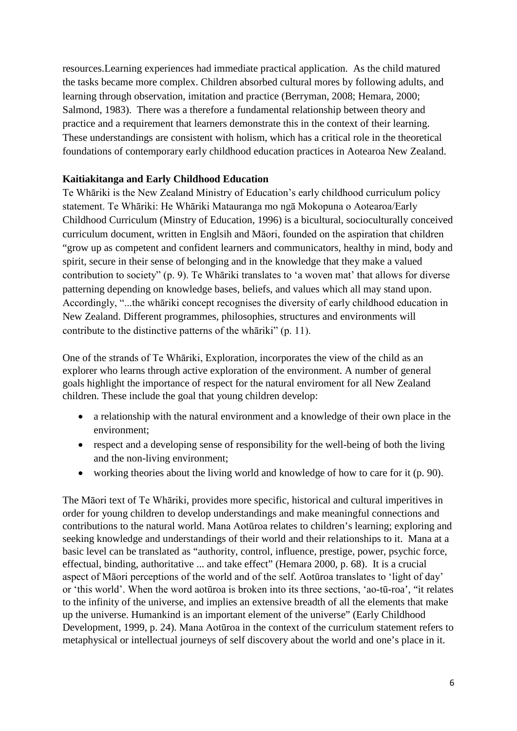resources.Learning experiences had immediate practical application. As the child matured the tasks became more complex. Children absorbed cultural mores by following adults, and learning through observation, imitation and practice (Berryman, 2008; Hemara, 2000; Salmond, 1983). There was a therefore a fundamental relationship between theory and practice and a requirement that learners demonstrate this in the context of their learning. These understandings are consistent with holism, which has a critical role in the theoretical foundations of contemporary early childhood education practices in Aotearoa New Zealand.

# **Kaitiakitanga and Early Childhood Education**

Te Whāriki is the New Zealand Ministry of Education's early childhood curriculum policy statement. Te Whāriki: He Whāriki Matauranga mo ngā Mokopuna o Aotearoa/Early Childhood Curriculum (Minstry of Education, 1996) is a bicultural, socioculturally conceived curriculum document, written in Englsih and Māori, founded on the aspiration that children "grow up as competent and confident learners and communicators, healthy in mind, body and spirit, secure in their sense of belonging and in the knowledge that they make a valued contribution to society" (p. 9). Te Whāriki translates to 'a woven mat' that allows for diverse patterning depending on knowledge bases, beliefs, and values which all may stand upon. Accordingly, "...the whāriki concept recognises the diversity of early childhood education in New Zealand. Different programmes, philosophies, structures and environments will contribute to the distinctive patterns of the whāriki" (p. 11).

One of the strands of Te Whāriki, Exploration, incorporates the view of the child as an explorer who learns through active exploration of the environment. A number of general goals highlight the importance of respect for the natural enviroment for all New Zealand children. These include the goal that young children develop:

- a relationship with the natural environment and a knowledge of their own place in the environment;
- respect and a developing sense of responsibility for the well-being of both the living and the non-living environment;
- working theories about the living world and knowledge of how to care for it (p. 90).

The Māori text of Te Whāriki, provides more specific, historical and cultural imperitives in order for young children to develop understandings and make meaningful connections and contributions to the natural world. Mana Aotūroa relates to children's learning; exploring and seeking knowledge and understandings of their world and their relationships to it. Mana at a basic level can be translated as "authority, control, influence, prestige, power, psychic force, effectual, binding, authoritative ... and take effect" (Hemara 2000, p. 68). It is a crucial aspect of Māori perceptions of the world and of the self. Aotūroa translates to 'light of day' or 'this world'. When the word aotūroa is broken into its three sections, 'ao-tū-roa', "it relates to the infinity of the universe, and implies an extensive breadth of all the elements that make up the universe. Humankind is an important element of the universe" (Early Childhood Development, 1999, p. 24). Mana Aotūroa in the context of the curriculum statement refers to metaphysical or intellectual journeys of self discovery about the world and one's place in it.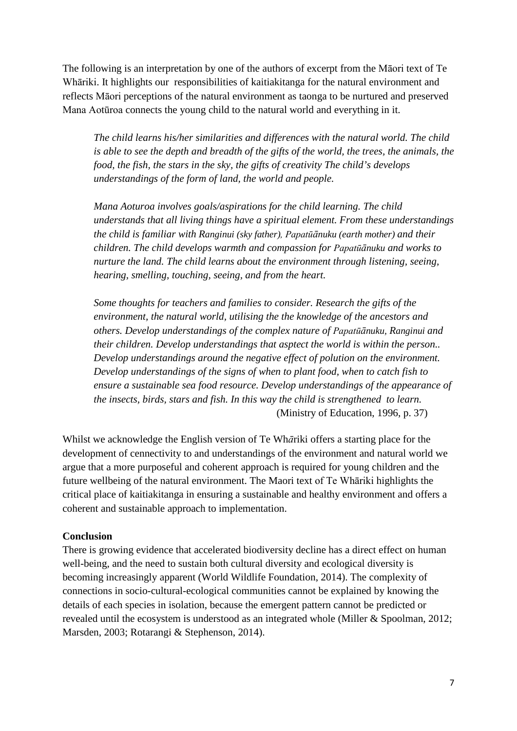The following is an interpretation by one of the authors of excerpt from the Māori text of Te Whāriki. It highlights our responsibilities of kaitiakitanga for the natural environment and reflects Māori perceptions of the natural environment as taonga to be nurtured and preserved Mana Aotūroa connects the young child to the natural world and everything in it.

*The child learns his/her similarities and differences with the natural world. The child is able to see the depth and breadth of the gifts of the world, the trees, the animals, the food, the fish, the stars in the sky, the gifts of creativity The child's develops understandings of the form of land, the world and people.*

*Mana Aoturoa involves goals/aspirations for the child learning. The child understands that all living things have a spiritual element. From these understandings the child is familiar with Ranginui (sky father), Papatūānuku (earth mother) and their children. The child develops warmth and compassion for Papatūānuku and works to nurture the land. The child learns about the environment through listening, seeing, hearing, smelling, touching, seeing, and from the heart.*

*Some thoughts for teachers and families to consider. Research the gifts of the environment, the natural world, utilising the the knowledge of the ancestors and others. Develop understandings of the complex nature of Papatūānuku, Ranginui and their children. Develop understandings that asptect the world is within the person.. Develop understandings around the negative effect of polution on the environment. Develop understandings of the signs of when to plant food, when to catch fish to ensure a sustainable sea food resource. Develop understandings of the appearance of the insects, birds, stars and fish. In this way the child is strengthened to learn.* (Ministry of Education, 1996, p. 37)

Whilst we acknowledge the English version of Te Wh*ā*riki offers a starting place for the development of cennectivity to and understandings of the environment and natural world we argue that a more purposeful and coherent approach is required for young children and the future wellbeing of the natural environment. The Maori text of Te Whāriki highlights the critical place of kaitiakitanga in ensuring a sustainable and healthy environment and offers a coherent and sustainable approach to implementation.

### **Conclusion**

There is growing evidence that accelerated biodiversity decline has a direct effect on human well-being, and the need to sustain both cultural diversity and ecological diversity is becoming increasingly apparent (World Wildlife Foundation, 2014). The complexity of connections in socio-cultural-ecological communities cannot be explained by knowing the details of each species in isolation, because the emergent pattern cannot be predicted or revealed until the ecosystem is understood as an integrated whole (Miller & Spoolman, 2012; Marsden, 2003; Rotarangi & Stephenson, 2014).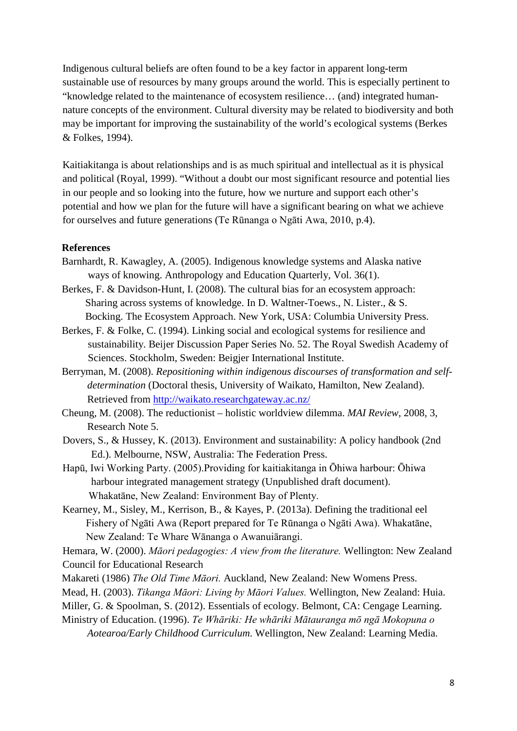Indigenous cultural beliefs are often found to be a key factor in apparent long-term sustainable use of resources by many groups around the world. This is especially pertinent to "knowledge related to the maintenance of ecosystem resilience… (and) integrated humannature concepts of the environment. Cultural diversity may be related to biodiversity and both may be important for improving the sustainability of the world's ecological systems (Berkes & Folkes, 1994).

Kaitiakitanga is about relationships and is as much spiritual and intellectual as it is physical and political (Royal, 1999). "Without a doubt our most significant resource and potential lies in our people and so looking into the future, how we nurture and support each other's potential and how we plan for the future will have a significant bearing on what we achieve for ourselves and future generations (Te Rūnanga o Ngāti Awa, 2010, p.4).

#### **References**

- Barnhardt, R. Kawagley, A. (2005). Indigenous knowledge systems and Alaska native ways of knowing. Anthropology and Education Quarterly, Vol. 36(1).
- Berkes, F. & Davidson-Hunt, I. (2008). The cultural bias for an ecosystem approach: Sharing across systems of knowledge. In D. Waltner-Toews., N. Lister., & S. Bocking. The Ecosystem Approach. New York, USA: Columbia University Press.
- Berkes, F. & Folke, C. (1994). Linking social and ecological systems for resilience and sustainability. Beijer Discussion Paper Series No. 52. The Royal Swedish Academy of Sciences. Stockholm, Sweden: Beigjer International Institute.
- Berryman, M. (2008). *Repositioning within indigenous discourses of transformation and selfdetermination* (Doctoral thesis, University of Waikato, Hamilton, New Zealand). Retrieved from<http://waikato.researchgateway.ac.nz/>
- Cheung, M. (2008). The reductionist holistic worldview dilemma. *MAI Review*, 2008, 3, Research Note 5.
- Dovers, S., & Hussey, K. (2013). Environment and sustainability: A policy handbook (2nd Ed.). Melbourne, NSW, Australia: The Federation Press.
- Hapū, Iwi Working Party. (2005).Providing for kaitiakitanga in Ōhiwa harbour: Ōhiwa harbour integrated management strategy (Unpublished draft document). Whakatāne, New Zealand: Environment Bay of Plenty.
- Kearney, M., Sisley, M., Kerrison, B., & Kayes, P. (2013a). Defining the traditional eel Fishery of Ngāti Awa (Report prepared for Te Rūnanga o Ngāti Awa). Whakatāne, New Zealand: Te Whare Wānanga o Awanuiārangi.

Hemara, W. (2000). *Māori pedagogies: A view from the literature.* Wellington: New Zealand Council for Educational Research

- Makareti (1986) *The Old Time Māori.* Auckland, New Zealand: New Womens Press.
- Mead, H. (2003). *Tikanga Māori: Living by Māori Values.* Wellington, New Zealand: Huia.
- Miller, G. & Spoolman, S. (2012). Essentials of ecology. Belmont, CA: Cengage Learning.
- Ministry of Education. (1996). *Te Whāriki: He whāriki Mātauranga mō ngā Mokopuna o Aotearoa/Early Childhood Curriculum*. Wellington, New Zealand: Learning Media.